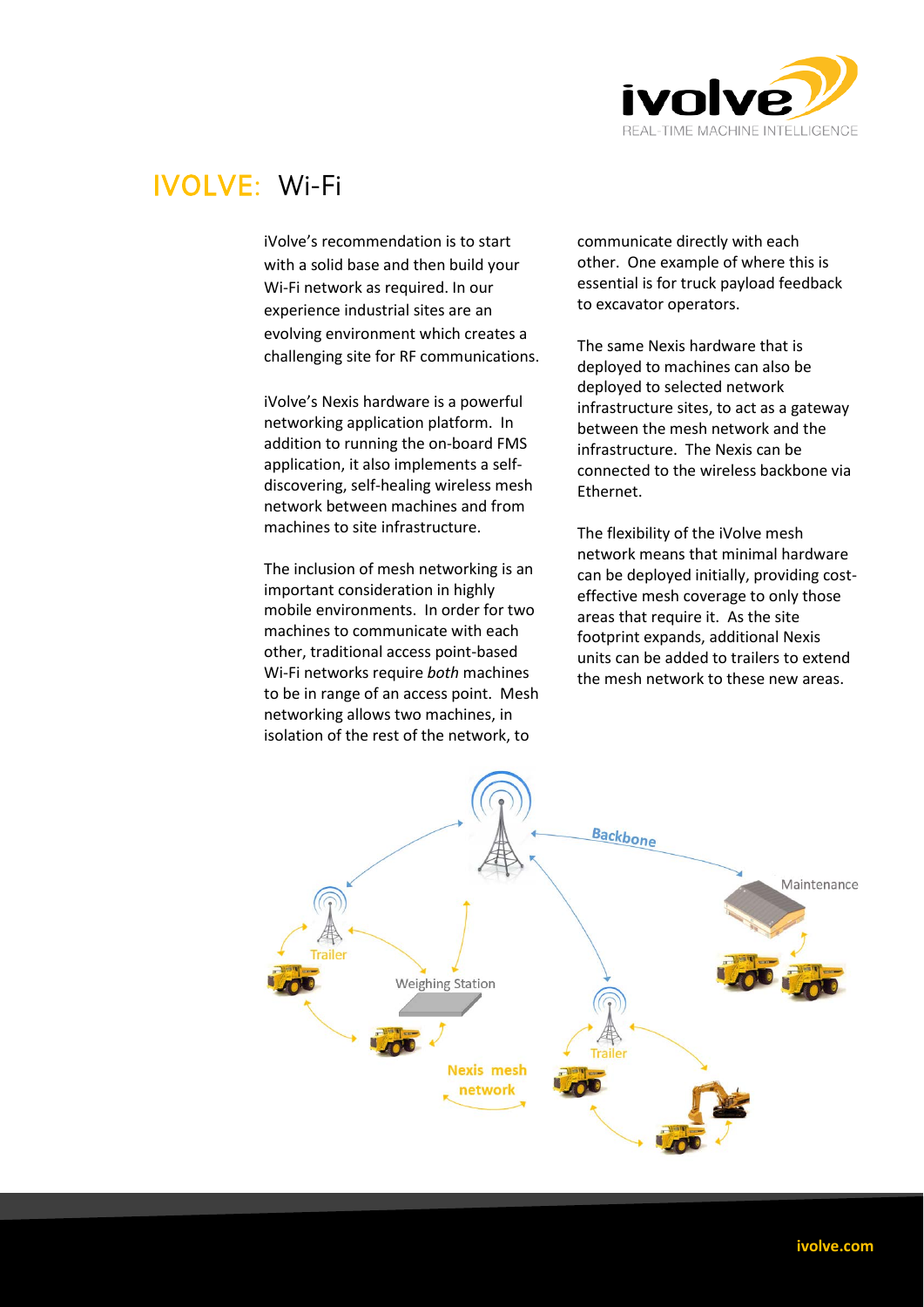

## IVOLVE: Wi-Fi

iVolve's recommendation is to start with a solid base and then build your Wi-Fi network as required. In our experience industrial sites are an evolving environment which creates a challenging site for RF communications.

iVolve's Nexis hardware is a powerful networking application platform. In addition to running the on-board FMS application, it also implements a selfdiscovering, self-healing wireless mesh network between machines and from machines to site infrastructure.

The inclusion of mesh networking is an important consideration in highly mobile environments. In order for two machines to communicate with each other, traditional access point-based Wi-Fi networks require *both* machines to be in range of an access point. Mesh networking allows two machines, in isolation of the rest of the network, to

communicate directly with each other. One example of where this is essential is for truck payload feedback to excavator operators.

The same Nexis hardware that is deployed to machines can also be deployed to selected network infrastructure sites, to act as a gateway between the mesh network and the infrastructure. The Nexis can be connected to the wireless backbone via Ethernet.

The flexibility of the iVolve mesh network means that minimal hardware can be deployed initially, providing costeffective mesh coverage to only those areas that require it. As the site footprint expands, additional Nexis units can be added to trailers to extend the mesh network to these new areas.